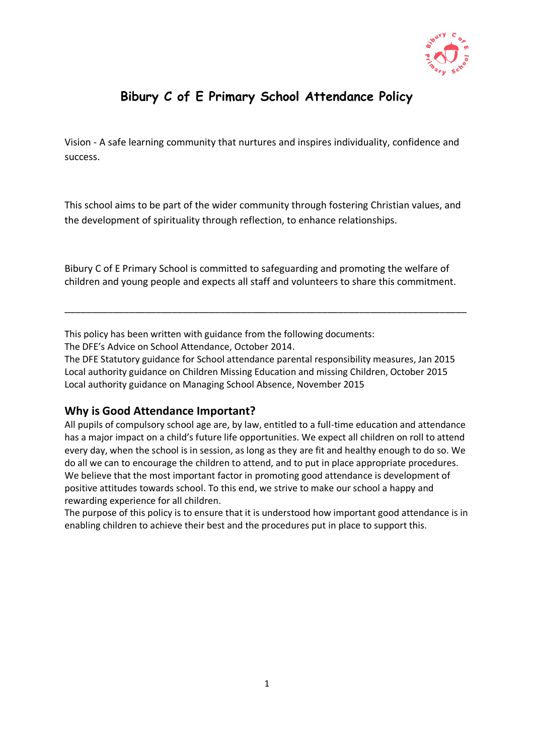

# **Bibury C of E Primary School Attendance Policy**

Vision - A safe learning community that nurtures and inspires individuality, confidence and success.

This school aims to be part of the wider community through fostering Christian values, and the development of spirituality through reflection, to enhance relationships.

Bibury C of E Primary School is committed to safeguarding and promoting the welfare of children and young people and expects all staff and volunteers to share this commitment.

\_\_\_\_\_\_\_\_\_\_\_\_\_\_\_\_\_\_\_\_\_\_\_\_\_\_\_\_\_\_\_\_\_\_\_\_\_\_\_\_\_\_\_\_\_\_\_\_\_\_\_\_\_\_\_\_\_\_\_\_\_\_\_\_\_\_\_\_\_\_\_\_\_\_\_

This policy has been written with guidance from the following documents:

The DFE's Advice on School Attendance, October 2014.

The DFE Statutory guidance for School attendance parental responsibility measures, Jan 2015 Local authority guidance on Children Missing Education and missing Children, October 2015 Local authority guidance on Managing School Absence, November 2015

### **Why is Good Attendance Important?**

All pupils of compulsory school age are, by law, entitled to a full-time education and attendance has a major impact on a child's future life opportunities. We expect all children on roll to attend every day, when the school is in session, as long as they are fit and healthy enough to do so. We do all we can to encourage the children to attend, and to put in place appropriate procedures. We believe that the most important factor in promoting good attendance is development of positive attitudes towards school. To this end, we strive to make our school a happy and rewarding experience for all children.

The purpose of this policy is to ensure that it is understood how important good attendance is in enabling children to achieve their best and the procedures put in place to support this.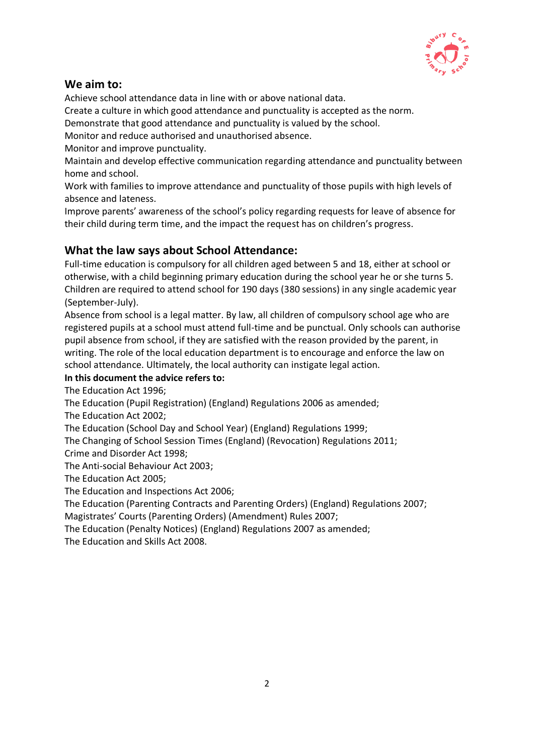

## **We aim to:**

Achieve school attendance data in line with or above national data.

Create a culture in which good attendance and punctuality is accepted as the norm.

Demonstrate that good attendance and punctuality is valued by the school.

Monitor and reduce authorised and unauthorised absence.

Monitor and improve punctuality.

Maintain and develop effective communication regarding attendance and punctuality between home and school.

Work with families to improve attendance and punctuality of those pupils with high levels of absence and lateness.

Improve parents' awareness of the school's policy regarding requests for leave of absence for their child during term time, and the impact the request has on children's progress.

### **What the law says about School Attendance:**

Full-time education is compulsory for all children aged between 5 and 18, either at school or otherwise, with a child beginning primary education during the school year he or she turns 5. Children are required to attend school for 190 days (380 sessions) in any single academic year (September-July).

Absence from school is a legal matter. By law, all children of compulsory school age who are registered pupils at a school must attend full-time and be punctual. Only schools can authorise pupil absence from school, if they are satisfied with the reason provided by the parent, in writing. The role of the local education department is to encourage and enforce the law on school attendance. Ultimately, the local authority can instigate legal action.

### **In this document the advice refers to:**

The Education Act 1996;

The Education (Pupil Registration) (England) Regulations 2006 as amended;

The Education Act 2002;

The Education (School Day and School Year) (England) Regulations 1999;

The Changing of School Session Times (England) (Revocation) Regulations 2011;

Crime and Disorder Act 1998;

The Anti-social Behaviour Act 2003;

The Education Act 2005;

The Education and Inspections Act 2006;

The Education (Parenting Contracts and Parenting Orders) (England) Regulations 2007;

Magistrates' Courts (Parenting Orders) (Amendment) Rules 2007;

The Education (Penalty Notices) (England) Regulations 2007 as amended;

The Education and Skills Act 2008.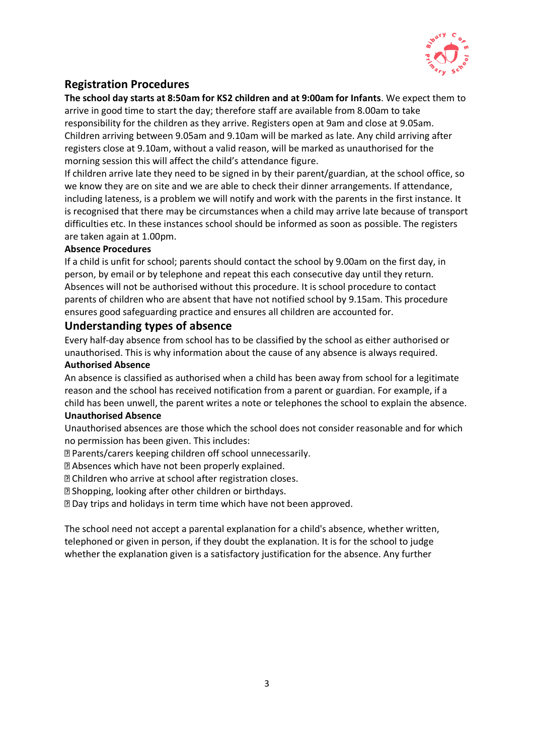

## **Registration Procedures**

**The school day starts at 8:50am for KS2 children and at 9:00am for Infants**. We expect them to arrive in good time to start the day; therefore staff are available from 8.00am to take responsibility for the children as they arrive. Registers open at 9am and close at 9.05am. Children arriving between 9.05am and 9.10am will be marked as late. Any child arriving after registers close at 9.10am, without a valid reason, will be marked as unauthorised for the morning session this will affect the child's attendance figure.

If children arrive late they need to be signed in by their parent/guardian, at the school office, so we know they are on site and we are able to check their dinner arrangements. If attendance, including lateness, is a problem we will notify and work with the parents in the first instance. It is recognised that there may be circumstances when a child may arrive late because of transport difficulties etc. In these instances school should be informed as soon as possible. The registers are taken again at 1.00pm.

#### **Absence Procedures**

If a child is unfit for school; parents should contact the school by 9.00am on the first day, in person, by email or by telephone and repeat this each consecutive day until they return. Absences will not be authorised without this procedure. It is school procedure to contact parents of children who are absent that have not notified school by 9.15am. This procedure ensures good safeguarding practice and ensures all children are accounted for.

#### **Understanding types of absence**

Every half-day absence from school has to be classified by the school as either authorised or unauthorised. This is why information about the cause of any absence is always required.

#### **Authorised Absence**

An absence is classified as authorised when a child has been away from school for a legitimate reason and the school has received notification from a parent or guardian. For example, if a child has been unwell, the parent writes a note or telephones the school to explain the absence.

#### **Unauthorised Absence**

Unauthorised absences are those which the school does not consider reasonable and for which no permission has been given. This includes:

Parents/carers keeping children off school unnecessarily.

Absences which have not been properly explained.

Children who arrive at school after registration closes.

Shopping, looking after other children or birthdays.

Day trips and holidays in term time which have not been approved.

The school need not accept a parental explanation for a child's absence, whether written, telephoned or given in person, if they doubt the explanation. It is for the school to judge whether the explanation given is a satisfactory justification for the absence. Any further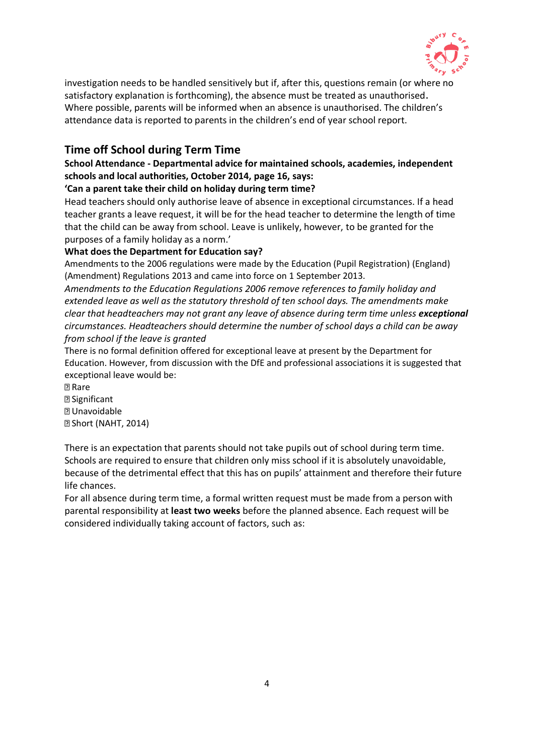

investigation needs to be handled sensitively but if, after this, questions remain (or where no satisfactory explanation is forthcoming), the absence must be treated as unauthorised. Where possible, parents will be informed when an absence is unauthorised. The children's attendance data is reported to parents in the children's end of year school report.

## **Time off School during Term Time**

### **School Attendance - Departmental advice for maintained schools, academies, independent schools and local authorities, October 2014, page 16, says:**

#### **'Can a parent take their child on holiday during term time?**

Head teachers should only authorise leave of absence in exceptional circumstances. If a head teacher grants a leave request, it will be for the head teacher to determine the length of time that the child can be away from school. Leave is unlikely, however, to be granted for the purposes of a family holiday as a norm.'

#### **What does the Department for Education say?**

Amendments to the 2006 regulations were made by the Education (Pupil Registration) (England) (Amendment) Regulations 2013 and came into force on 1 September 2013.

*Amendments to the Education Regulations 2006 remove references to family holiday and extended leave as well as the statutory threshold of ten school days. The amendments make clear that headteachers may not grant any leave of absence during term time unless exceptional circumstances. Headteachers should determine the number of school days a child can be away from school if the leave is granted* 

There is no formal definition offered for exceptional leave at present by the Department for Education. However, from discussion with the DfE and professional associations it is suggested that exceptional leave would be:

**图 Rare 2** Significant **2** Unavoidable Short (NAHT, 2014)

There is an expectation that parents should not take pupils out of school during term time. Schools are required to ensure that children only miss school if it is absolutely unavoidable, because of the detrimental effect that this has on pupils' attainment and therefore their future life chances.

For all absence during term time, a formal written request must be made from a person with parental responsibility at **least two weeks** before the planned absence. Each request will be considered individually taking account of factors, such as: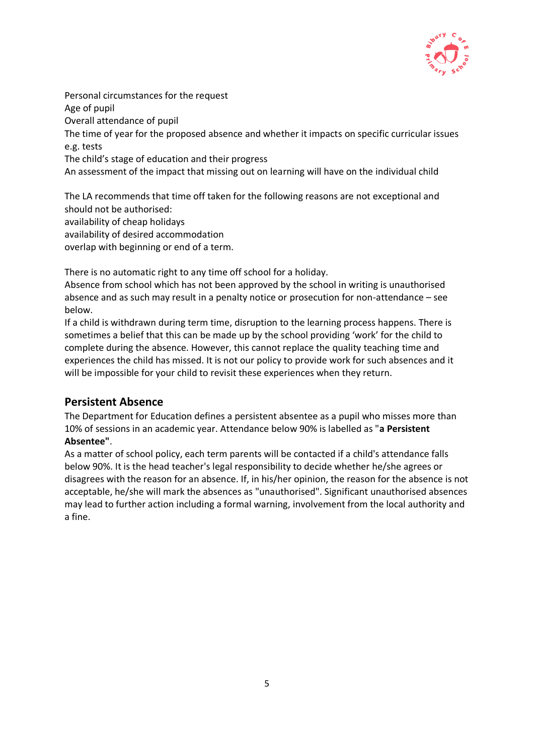

Personal circumstances for the request Age of pupil Overall attendance of pupil The time of year for the proposed absence and whether it impacts on specific curricular issues e.g. tests The child's stage of education and their progress An assessment of the impact that missing out on learning will have on the individual child

The LA recommends that time off taken for the following reasons are not exceptional and should not be authorised: availability of cheap holidays availability of desired accommodation overlap with beginning or end of a term.

There is no automatic right to any time off school for a holiday.

Absence from school which has not been approved by the school in writing is unauthorised absence and as such may result in a penalty notice or prosecution for non-attendance – see below.

If a child is withdrawn during term time, disruption to the learning process happens. There is sometimes a belief that this can be made up by the school providing 'work' for the child to complete during the absence. However, this cannot replace the quality teaching time and experiences the child has missed. It is not our policy to provide work for such absences and it will be impossible for your child to revisit these experiences when they return.

## **Persistent Absence**

The Department for Education defines a persistent absentee as a pupil who misses more than 10% of sessions in an academic year. Attendance below 90% is labelled as "**a Persistent Absentee"**.

As a matter of school policy, each term parents will be contacted if a child's attendance falls below 90%. It is the head teacher's legal responsibility to decide whether he/she agrees or disagrees with the reason for an absence. If, in his/her opinion, the reason for the absence is not acceptable, he/she will mark the absences as "unauthorised". Significant unauthorised absences may lead to further action including a formal warning, involvement from the local authority and a fine.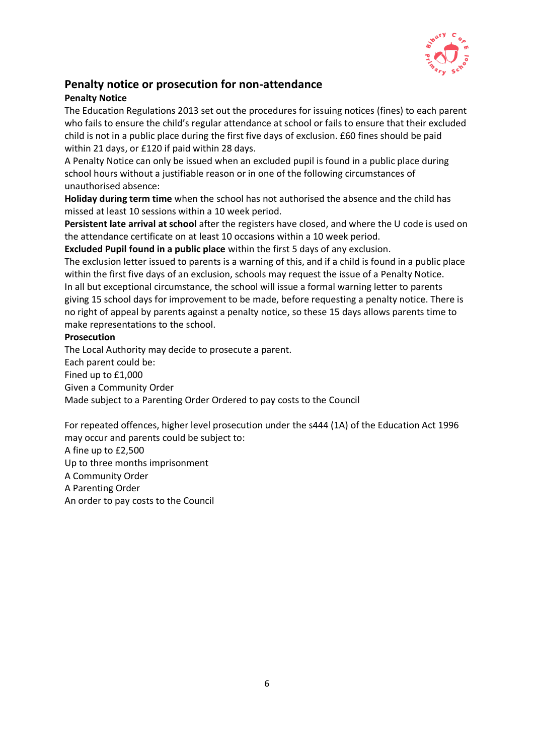

## **Penalty notice or prosecution for non-attendance**

### **Penalty Notice**

The Education Regulations 2013 set out the procedures for issuing notices (fines) to each parent who fails to ensure the child's regular attendance at school or fails to ensure that their excluded child is not in a public place during the first five days of exclusion. £60 fines should be paid within 21 days, or £120 if paid within 28 days.

A Penalty Notice can only be issued when an excluded pupil is found in a public place during school hours without a justifiable reason or in one of the following circumstances of unauthorised absence:

**Holiday during term time** when the school has not authorised the absence and the child has missed at least 10 sessions within a 10 week period.

**Persistent late arrival at school** after the registers have closed, and where the U code is used on the attendance certificate on at least 10 occasions within a 10 week period.

**Excluded Pupil found in a public place** within the first 5 days of any exclusion.

The exclusion letter issued to parents is a warning of this, and if a child is found in a public place within the first five days of an exclusion, schools may request the issue of a Penalty Notice. In all but exceptional circumstance, the school will issue a formal warning letter to parents giving 15 school days for improvement to be made, before requesting a penalty notice. There is no right of appeal by parents against a penalty notice, so these 15 days allows parents time to make representations to the school.

#### **Prosecution**

The Local Authority may decide to prosecute a parent. Each parent could be: Fined up to £1,000 Given a Community Order Made subject to a Parenting Order Ordered to pay costs to the Council

For repeated offences, higher level prosecution under the s444 (1A) of the Education Act 1996 may occur and parents could be subject to:

A fine up to £2,500 Up to three months imprisonment A Community Order A Parenting Order An order to pay costs to the Council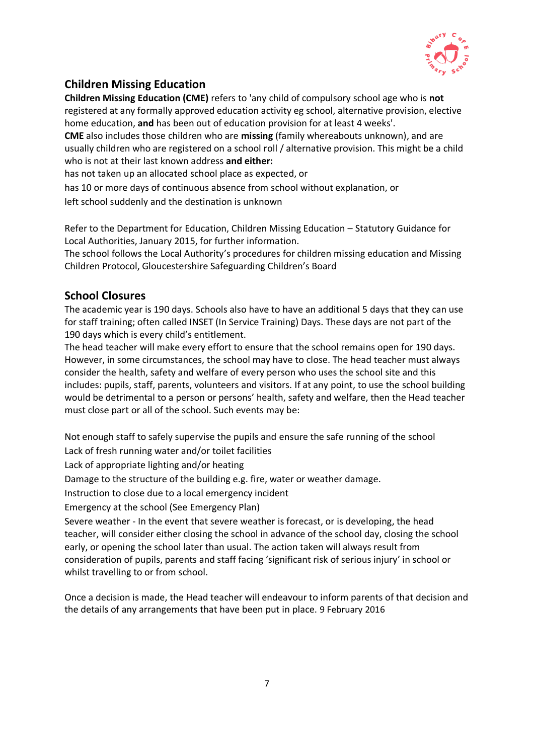

## **Children Missing Education**

**Children Missing Education (CME)** refers to 'any child of compulsory school age who is **not**  registered at any formally approved education activity eg school, alternative provision, elective home education, **and** has been out of education provision for at least 4 weeks'.

**CME** also includes those children who are **missing** (family whereabouts unknown), and are usually children who are registered on a school roll / alternative provision. This might be a child who is not at their last known address **and either:** 

has not taken up an allocated school place as expected, or

has 10 or more days of continuous absence from school without explanation, or

left school suddenly and the destination is unknown

Refer to the Department for Education, Children Missing Education – Statutory Guidance for Local Authorities, January 2015, for further information.

The school follows the Local Authority's procedures for children missing education and Missing Children Protocol, Gloucestershire Safeguarding Children's Board

## **School Closures**

The academic year is 190 days. Schools also have to have an additional 5 days that they can use for staff training; often called INSET (In Service Training) Days. These days are not part of the 190 days which is every child's entitlement.

The head teacher will make every effort to ensure that the school remains open for 190 days. However, in some circumstances, the school may have to close. The head teacher must always consider the health, safety and welfare of every person who uses the school site and this includes: pupils, staff, parents, volunteers and visitors. If at any point, to use the school building would be detrimental to a person or persons' health, safety and welfare, then the Head teacher must close part or all of the school. Such events may be:

Not enough staff to safely supervise the pupils and ensure the safe running of the school Lack of fresh running water and/or toilet facilities

Lack of appropriate lighting and/or heating

Damage to the structure of the building e.g. fire, water or weather damage.

Instruction to close due to a local emergency incident

Emergency at the school (See Emergency Plan)

Severe weather - In the event that severe weather is forecast, or is developing, the head teacher, will consider either closing the school in advance of the school day, closing the school early, or opening the school later than usual. The action taken will always result from consideration of pupils, parents and staff facing 'significant risk of serious injury' in school or whilst travelling to or from school.

Once a decision is made, the Head teacher will endeavour to inform parents of that decision and the details of any arrangements that have been put in place. 9 February 2016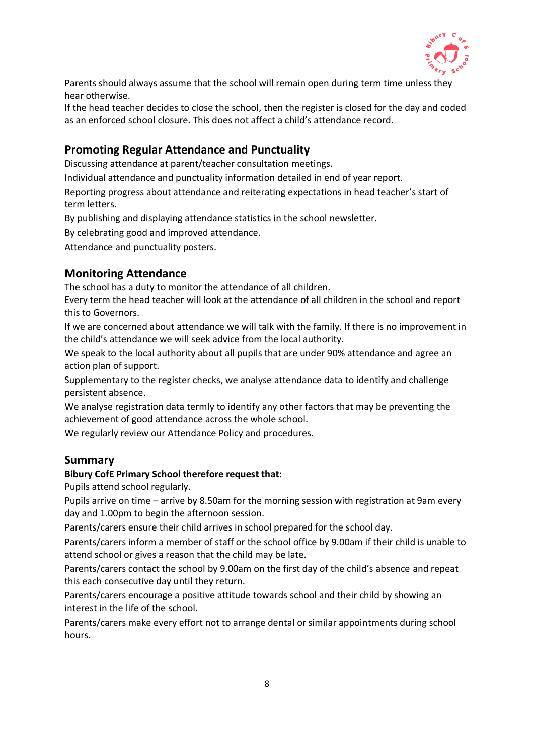

Parents should always assume that the school will remain open during term time unless they hear otherwise.

If the head teacher decides to close the school, then the register is closed for the day and coded as an enforced school closure. This does not affect a child's attendance record.

## **Promoting Regular Attendance and Punctuality**

Discussing attendance at parent/teacher consultation meetings.

Individual attendance and punctuality information detailed in end of year report.

Reporting progress about attendance and reiterating expectations in head teacher's start of term letters.

By publishing and displaying attendance statistics in the school newsletter.

By celebrating good and improved attendance.

Attendance and punctuality posters.

### **Monitoring Attendance**

The school has a duty to monitor the attendance of all children.

Every term the head teacher will look at the attendance of all children in the school and report this to Governors.

If we are concerned about attendance we will talk with the family. If there is no improvement in the child's attendance we will seek advice from the local authority.

We speak to the local authority about all pupils that are under 90% attendance and agree an action plan of support.

Supplementary to the register checks, we analyse attendance data to identify and challenge persistent absence.

We analyse registration data termly to identify any other factors that may be preventing the achievement of good attendance across the whole school.

We regularly review our Attendance Policy and procedures.

#### **Summary**

#### **Bibury CofE Primary School therefore request that:**

Pupils attend school regularly.

Pupils arrive on time – arrive by 8.50am for the morning session with registration at 9am every day and 1.00pm to begin the afternoon session.

Parents/carers ensure their child arrives in school prepared for the school day.

Parents/carers inform a member of staff or the school office by 9.00am if their child is unable to attend school or gives a reason that the child may be late.

Parents/carers contact the school by 9.00am on the first day of the child's absence and repeat this each consecutive day until they return.

Parents/carers encourage a positive attitude towards school and their child by showing an interest in the life of the school.

Parents/carers make every effort not to arrange dental or similar appointments during school hours.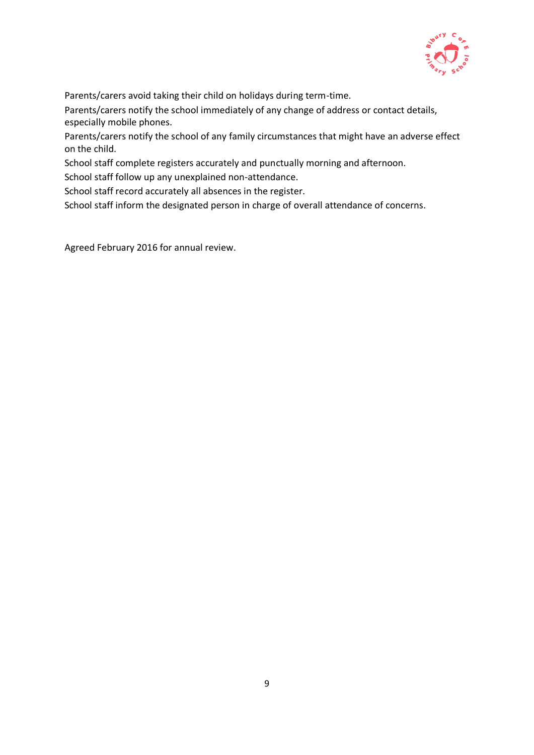

Parents/carers avoid taking their child on holidays during term-time.

Parents/carers notify the school immediately of any change of address or contact details, especially mobile phones.

Parents/carers notify the school of any family circumstances that might have an adverse effect on the child.

School staff complete registers accurately and punctually morning and afternoon.

School staff follow up any unexplained non-attendance.

School staff record accurately all absences in the register.

School staff inform the designated person in charge of overall attendance of concerns.

Agreed February 2016 for annual review.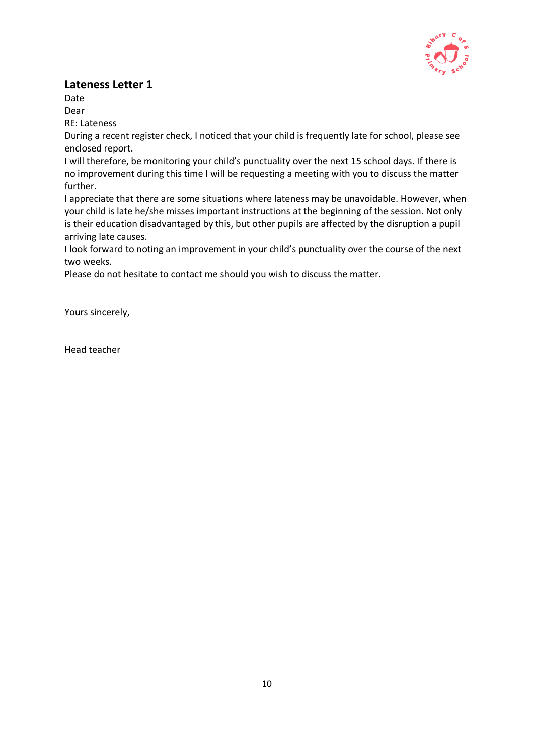

## **Lateness Letter 1**

Date Dear

RE: Lateness

During a recent register check, I noticed that your child is frequently late for school, please see enclosed report.

I will therefore, be monitoring your child's punctuality over the next 15 school days. If there is no improvement during this time I will be requesting a meeting with you to discuss the matter further.

I appreciate that there are some situations where lateness may be unavoidable. However, when your child is late he/she misses important instructions at the beginning of the session. Not only is their education disadvantaged by this, but other pupils are affected by the disruption a pupil arriving late causes.

I look forward to noting an improvement in your child's punctuality over the course of the next two weeks.

Please do not hesitate to contact me should you wish to discuss the matter.

Yours sincerely,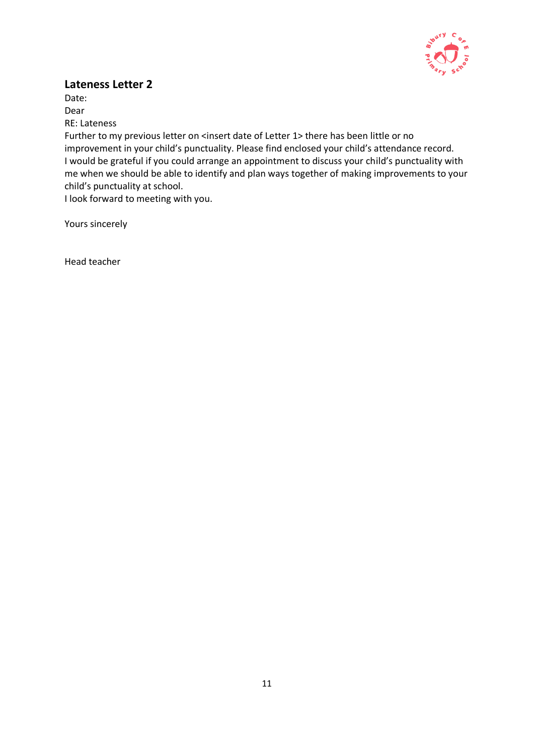

## **Lateness Letter 2**

Date: Dear RE: Lateness Further to my previous letter on <insert date of Letter 1> there has been little or no improvement in your child's punctuality. Please find enclosed your child's attendance record. I would be grateful if you could arrange an appointment to discuss your child's punctuality with me when we should be able to identify and plan ways together of making improvements to your child's punctuality at school.

I look forward to meeting with you.

Yours sincerely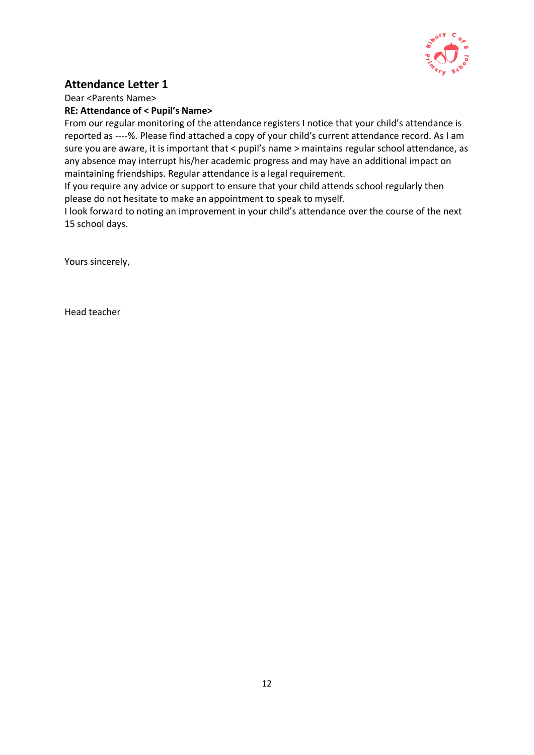

## **Attendance Letter 1**

Dear <Parents Name>

#### **RE: Attendance of < Pupil's Name>**

From our regular monitoring of the attendance registers I notice that your child's attendance is reported as ----%. Please find attached a copy of your child's current attendance record. As I am sure you are aware, it is important that < pupil's name > maintains regular school attendance, as any absence may interrupt his/her academic progress and may have an additional impact on maintaining friendships. Regular attendance is a legal requirement.

If you require any advice or support to ensure that your child attends school regularly then please do not hesitate to make an appointment to speak to myself.

I look forward to noting an improvement in your child's attendance over the course of the next 15 school days.

Yours sincerely,